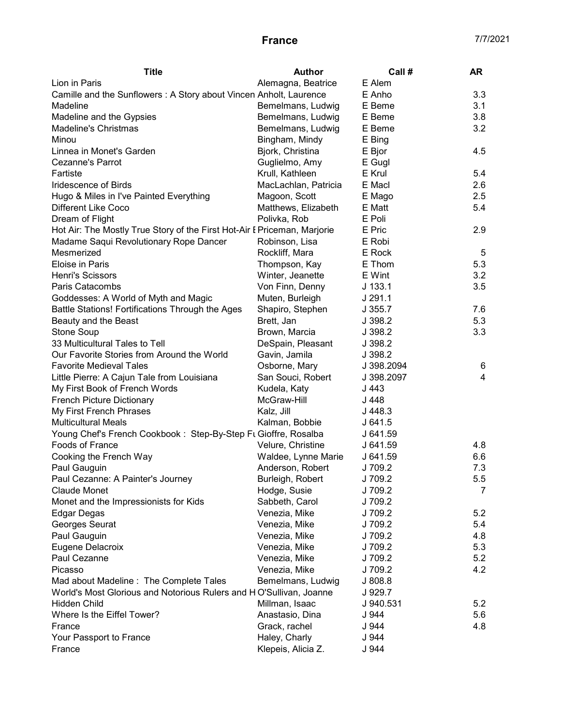## **France** 7/7/2021

| <b>Title</b>                                                             | <b>Author</b>        | Call #     | AR  |
|--------------------------------------------------------------------------|----------------------|------------|-----|
| Lion in Paris                                                            | Alemagna, Beatrice   | E Alem     |     |
| Camille and the Sunflowers: A Story about Vincen Anholt, Laurence        |                      | E Anho     | 3.3 |
| Madeline                                                                 | Bemelmans, Ludwig    | E Beme     | 3.1 |
| Madeline and the Gypsies                                                 | Bemelmans, Ludwig    | E Beme     | 3.8 |
| Madeline's Christmas                                                     | Bemelmans, Ludwig    | E Beme     | 3.2 |
| Minou                                                                    | Bingham, Mindy       | E Bing     |     |
| Linnea in Monet's Garden                                                 | Bjork, Christina     | E Bjor     | 4.5 |
| Cezanne's Parrot                                                         | Guglielmo, Amy       | E Gugl     |     |
| Fartiste                                                                 | Krull, Kathleen      | E Krul     | 5.4 |
| Iridescence of Birds                                                     | MacLachlan, Patricia | E Macl     | 2.6 |
| Hugo & Miles in I've Painted Everything                                  | Magoon, Scott        | E Mago     | 2.5 |
| Different Like Coco                                                      | Matthews, Elizabeth  | E Matt     | 5.4 |
| Dream of Flight                                                          | Polivka, Rob         | E Poli     |     |
| Hot Air: The Mostly True Story of the First Hot-Air I Priceman, Marjorie |                      | E Pric     | 2.9 |
| Madame Saqui Revolutionary Rope Dancer                                   | Robinson, Lisa       | E Robi     |     |
| Mesmerized                                                               | Rockliff, Mara       | E Rock     | 5   |
| Eloise in Paris                                                          | Thompson, Kay        | E Thom     | 5.3 |
| Henri's Scissors                                                         | Winter, Jeanette     | E Wint     | 3.2 |
| Paris Catacombs                                                          | Von Finn, Denny      | $J$ 133.1  | 3.5 |
| Goddesses: A World of Myth and Magic                                     | Muten, Burleigh      | J291.1     |     |
| Battle Stations! Fortifications Through the Ages                         | Shapiro, Stephen     | J355.7     | 7.6 |
| Beauty and the Beast                                                     | Brett, Jan           | J 398.2    | 5.3 |
| <b>Stone Soup</b>                                                        | Brown, Marcia        | J 398.2    | 3.3 |
| 33 Multicultural Tales to Tell                                           | DeSpain, Pleasant    | J 398.2    |     |
| Our Favorite Stories from Around the World                               | Gavin, Jamila        | J 398.2    |     |
| <b>Favorite Medieval Tales</b>                                           | Osborne, Mary        | J 398.2094 | 6   |
| Little Pierre: A Cajun Tale from Louisiana                               | San Souci, Robert    | J 398.2097 | 4   |
| My First Book of French Words                                            | Kudela, Katy         | J 443      |     |
| <b>French Picture Dictionary</b>                                         | McGraw-Hill          | J 448      |     |
| My First French Phrases                                                  | Kalz, Jill           | J448.3     |     |
| <b>Multicultural Meals</b>                                               | Kalman, Bobbie       | J641.5     |     |
| Young Chef's French Cookbook: Step-By-Step Ft Gioffre, Rosalba           |                      | J 641.59   |     |
| Foods of France                                                          | Velure, Christine    | J 641.59   | 4.8 |
| Cooking the French Way                                                   | Waldee, Lynne Marie  | J 641.59   | 6.6 |
| Paul Gauguin                                                             | Anderson, Robert     | J 709.2    | 7.3 |
| Paul Cezanne: A Painter's Journey                                        | Burleigh, Robert     | J 709.2    | 5.5 |
| <b>Claude Monet</b>                                                      | Hodge, Susie         | J 709.2    | 7   |
| Monet and the Impressionists for Kids                                    | Sabbeth, Carol       | J 709.2    |     |
| Edgar Degas                                                              | Venezia, Mike        | J 709.2    | 5.2 |
| Georges Seurat                                                           | Venezia, Mike        | J 709.2    | 5.4 |
| Paul Gauguin                                                             | Venezia, Mike        | J 709.2    | 4.8 |
| Eugene Delacroix                                                         | Venezia, Mike        | J 709.2    | 5.3 |
| Paul Cezanne                                                             | Venezia, Mike        | J 709.2    | 5.2 |
| Picasso                                                                  | Venezia, Mike        | J 709.2    | 4.2 |
| Mad about Madeline : The Complete Tales                                  | Bemelmans, Ludwig    | J 808.8    |     |
| World's Most Glorious and Notorious Rulers and HO'Sullivan, Joanne       |                      | J 929.7    |     |
| <b>Hidden Child</b>                                                      | Millman, Isaac       | J 940.531  | 5.2 |
| Where Is the Eiffel Tower?                                               | Anastasio, Dina      | J 944      | 5.6 |
| France                                                                   | Grack, rachel        | J 944      | 4.8 |
| Your Passport to France                                                  | Haley, Charly        | J 944      |     |
| France                                                                   | Klepeis, Alicia Z.   | J 944      |     |